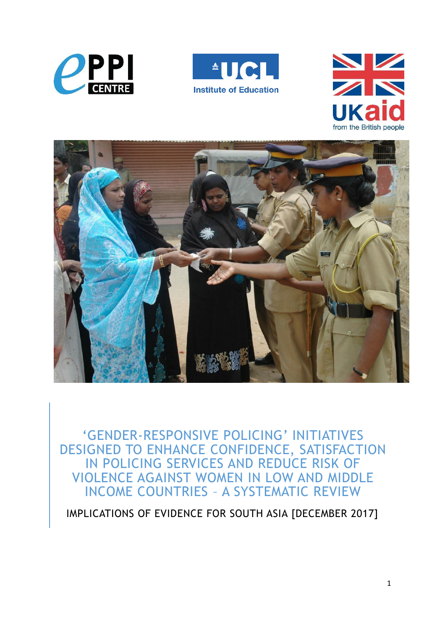







'GENDER-RESPONSIVE POLICING' INITIATIVES DESIGNED TO ENHANCE CONFIDENCE, SATISFACTION IN POLICING SERVICES AND REDUCE RISK OF VIOLENCE AGAINST WOMEN IN LOW AND MIDDLE INCOME COUNTRIES – A SYSTEMATIC REVIEW

IMPLICATIONS OF EVIDENCE FOR SOUTH ASIA [DECEMBER 2017]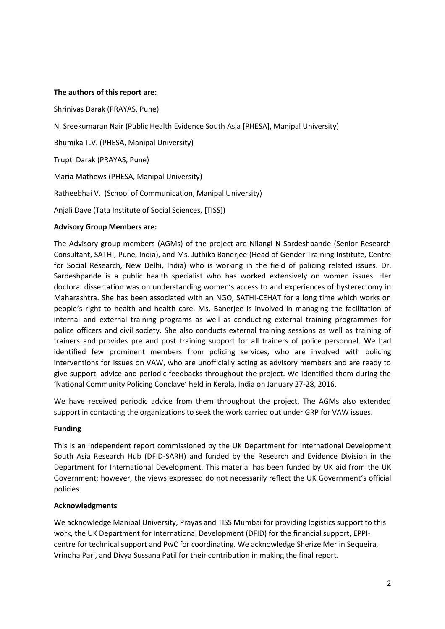#### **The authors of this report are:**

Shrinivas Darak (PRAYAS, Pune) N. Sreekumaran Nair (Public Health Evidence South Asia [PHESA], Manipal University) Bhumika T.V. (PHESA, Manipal University) Trupti Darak (PRAYAS, Pune) Maria Mathews (PHESA, Manipal University) Ratheebhai V. (School of Communication, Manipal University) Anjali Dave (Tata Institute of Social Sciences, [TISS])

#### **Advisory Group Members are:**

The Advisory group members (AGMs) of the project are Nilangi N Sardeshpande (Senior Research Consultant, SATHI, Pune, India), and Ms. Juthika Banerjee (Head of Gender Training Institute, Centre for Social Research, New Delhi, India) who is working in the field of policing related issues. Dr. Sardeshpande is a public health specialist who has worked extensively on women issues. Her doctoral dissertation was on understanding women's access to and experiences of hysterectomy in Maharashtra. She has been associated with an NGO, SATHI-CEHAT for a long time which works on people's right to health and health care. Ms. Banerjee is involved in managing the facilitation of internal and external training programs as well as conducting external training programmes for police officers and civil society. She also conducts external training sessions as well as training of trainers and provides pre and post training support for all trainers of police personnel. We had identified few prominent members from policing services, who are involved with policing interventions for issues on VAW, who are unofficially acting as advisory members and are ready to give support, advice and periodic feedbacks throughout the project. We identified them during the ͚National Community Policing Conclave͛ held in Kerala, India on January 27-28, 2016.

We have received periodic advice from them throughout the project. The AGMs also extended support in contacting the organizations to seek the work carried out under GRP for VAW issues.

#### **Funding**

This is an independent report commissioned by the UK Department for International Development South Asia Research Hub (DFID-SARH) and funded by the Research and Evidence Division in the Department for International Development. This material has been funded by UK aid from the UK Government; however, the views expressed do not necessarily reflect the UK Government's official policies.

#### **Acknowledgments**

We acknowledge Manipal University, Prayas and TISS Mumbai for providing logistics support to this work, the UK Department for International Development (DFID) for the financial support, EPPIcentre for technical support and PwC for coordinating. We acknowledge Sherize Merlin Sequeira, Vrindha Pari, and Divya Sussana Patil for their contribution in making the final report.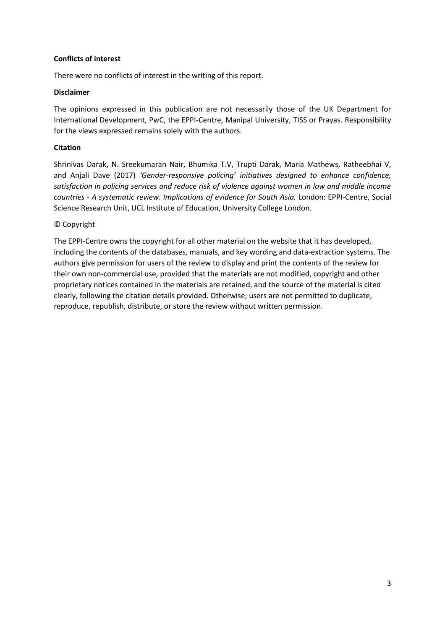#### **Conflicts of interest**

There were no conflicts of interest in the writing of this report.

#### **Disclaimer**

The opinions expressed in this publication are not necessarily those of the UK Department for International Development, PwC, the EPPI-Centre, Manipal University, TISS or Prayas. Responsibility for the views expressed remains solely with the authors.

#### **Citation**

Shrinivas Darak, N. Sreekumaran Nair, Bhumika T.V, Trupti Darak, Maria Mathews, Ratheebhai V, and Anjali Dave (2017) 'Gender-responsive policing' initiatives designed to enhance confidence, *satisfaction in policing services and reduce risk of violence against women in low and middle income countries - A systematic review*. *Implications of evidence for South Asia.* London: EPPI-Centre, Social Science Research Unit, UCL Institute of Education, University College London.

## © Copyright

The EPPI-Centre owns the copyright for all other material on the website that it has developed, including the contents of the databases, manuals, and key wording and data-extraction systems. The authors give permission for users of the review to display and print the contents of the review for their own non-commercial use, provided that the materials are not modified, copyright and other proprietary notices contained in the materials are retained, and the source of the material is cited clearly, following the citation details provided. Otherwise, users are not permitted to duplicate, reproduce, republish, distribute, or store the review without written permission.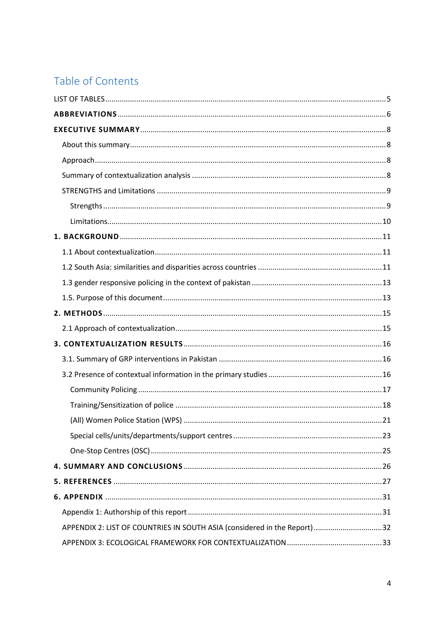# Table of Contents

| APPENDIX 2: LIST OF COUNTRIES IN SOUTH ASIA (considered in the Report) 32 |  |
|---------------------------------------------------------------------------|--|
|                                                                           |  |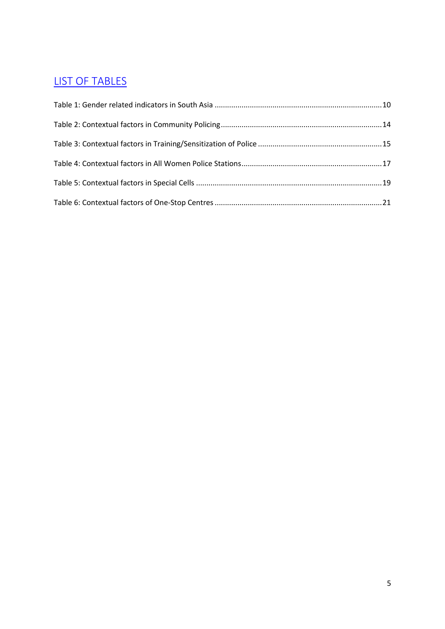# <span id="page-4-0"></span>LIST OF TABLES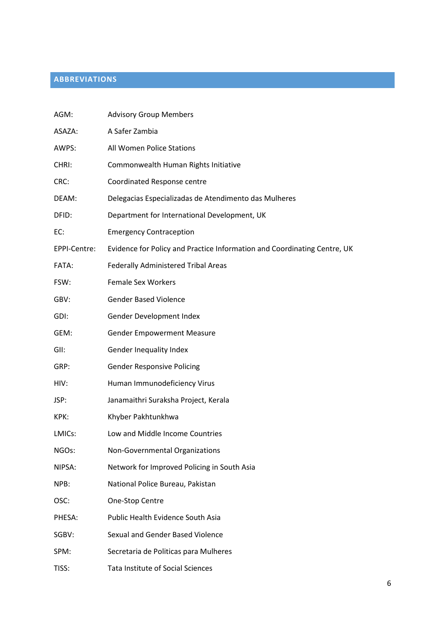## <span id="page-5-0"></span>**ABBREVIATIONS**

| AGM:         | <b>Advisory Group Members</b>                                            |
|--------------|--------------------------------------------------------------------------|
| ASAZA:       | A Safer Zambia                                                           |
| AWPS:        | All Women Police Stations                                                |
| CHRI:        | Commonwealth Human Rights Initiative                                     |
| CRC:         | Coordinated Response centre                                              |
| DEAM:        | Delegacias Especializadas de Atendimento das Mulheres                    |
| DFID:        | Department for International Development, UK                             |
| EC:          | <b>Emergency Contraception</b>                                           |
| EPPI-Centre: | Evidence for Policy and Practice Information and Coordinating Centre, UK |
| FATA:        | Federally Administered Tribal Areas                                      |
| FSW:         | <b>Female Sex Workers</b>                                                |
| GBV:         | <b>Gender Based Violence</b>                                             |
| GDI:         | Gender Development Index                                                 |
| GEM:         | <b>Gender Empowerment Measure</b>                                        |
| GII:         | Gender Inequality Index                                                  |
| GRP:         | <b>Gender Responsive Policing</b>                                        |
| HIV:         | Human Immunodeficiency Virus                                             |
| JSP:         | Janamaithri Suraksha Project, Kerala                                     |
| KPK:         | Khyber Pakhtunkhwa                                                       |
| LMICs:       | Low and Middle Income Countries                                          |
| NGOs:        | Non-Governmental Organizations                                           |
| NIPSA:       | Network for Improved Policing in South Asia                              |
| NPB:         | National Police Bureau, Pakistan                                         |
| OSC:         | One-Stop Centre                                                          |
| PHESA:       | Public Health Evidence South Asia                                        |
| SGBV:        | Sexual and Gender Based Violence                                         |
| SPM:         | Secretaria de Politicas para Mulheres                                    |
| TISS:        | Tata Institute of Social Sciences                                        |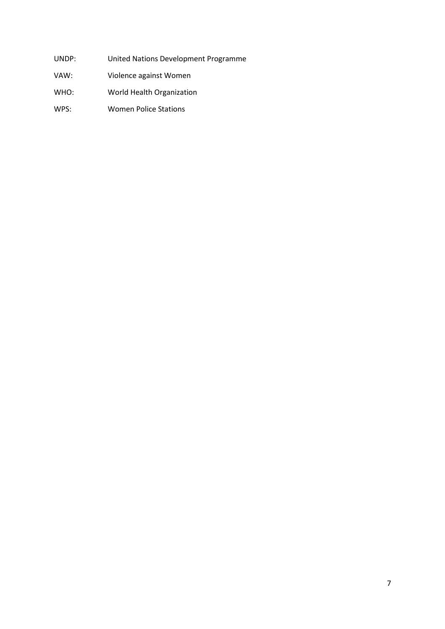- UNDP: United Nations Development Programme
- VAW: Violence against Women
- WHO: World Health Organization
- WPS: Women Police Stations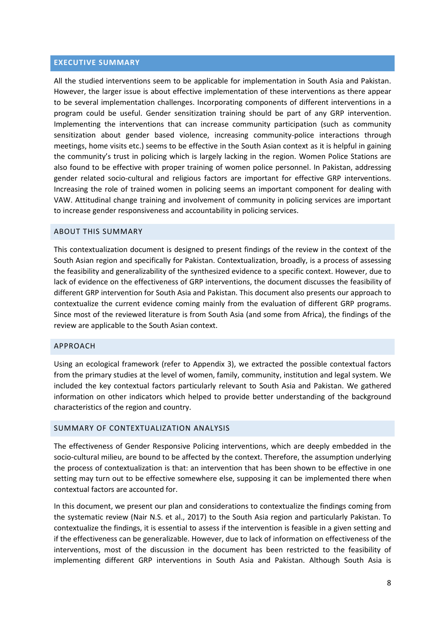#### <span id="page-7-0"></span>**EXECUTIVE SUMMARY**

All the studied interventions seem to be applicable for implementation in South Asia and Pakistan. However, the larger issue is about effective implementation of these interventions as there appear to be several implementation challenges. Incorporating components of different interventions in a program could be useful. Gender sensitization training should be part of any GRP intervention. Implementing the interventions that can increase community participation (such as community sensitization about gender based violence, increasing community-police interactions through meetings, home visits etc.) seems to be effective in the South Asian context as it is helpful in gaining the community's trust in policing which is largely lacking in the region. Women Police Stations are also found to be effective with proper training of women police personnel. In Pakistan, addressing gender related socio-cultural and religious factors are important for effective GRP interventions. Increasing the role of trained women in policing seems an important component for dealing with VAW. Attitudinal change training and involvement of community in policing services are important to increase gender responsiveness and accountability in policing services.

#### <span id="page-7-1"></span>ABOUT THIS SUMMARY

This contextualization document is designed to present findings of the review in the context of the South Asian region and specifically for Pakistan. Contextualization, broadly, is a process of assessing the feasibility and generalizability of the synthesized evidence to a specific context. However, due to lack of evidence on the effectiveness of GRP interventions, the document discusses the feasibility of different GRP intervention for South Asia and Pakistan. This document also presents our approach to contextualize the current evidence coming mainly from the evaluation of different GRP programs. Since most of the reviewed literature is from South Asia (and some from Africa), the findings of the review are applicable to the South Asian context.

#### <span id="page-7-2"></span>APPROACH

Using an ecological framework (refer to Appendix 3), we extracted the possible contextual factors from the primary studies at the level of women, family, community, institution and legal system. We included the key contextual factors particularly relevant to South Asia and Pakistan. We gathered information on other indicators which helped to provide better understanding of the background characteristics of the region and country.

#### <span id="page-7-3"></span>SUMMARY OF CONTEXTUALIZATION ANALYSIS

The effectiveness of Gender Responsive Policing interventions, which are deeply embedded in the socio-cultural milieu, are bound to be affected by the context. Therefore, the assumption underlying the process of contextualization is that: an intervention that has been shown to be effective in one setting may turn out to be effective somewhere else, supposing it can be implemented there when contextual factors are accounted for.

In this document, we present our plan and considerations to contextualize the findings coming from the systematic review (Nair N.S. et al., 2017) to the South Asia region and particularly Pakistan. To contextualize the findings, it is essential to assess if the intervention is feasible in a given setting and if the effectiveness can be generalizable. However, due to lack of information on effectiveness of the interventions, most of the discussion in the document has been restricted to the feasibility of implementing different GRP interventions in South Asia and Pakistan. Although South Asia is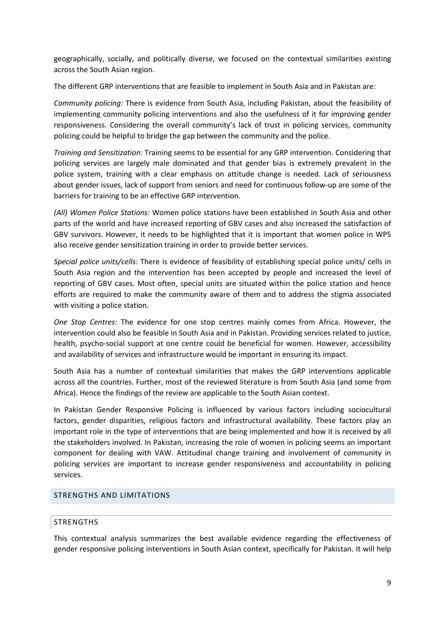geographically, socially, and politically diverse, we focused on the contextual similarities existing across the South Asian region.

The different GRP interventions that are feasible to implement in South Asia and in Pakistan are:

*Community policing:* There is evidence from South Asia, including Pakistan, about the feasibility of implementing community policing interventions and also the usefulness of it for improving gender responsiveness. Considering the overall community's lack of trust in policing services, community policing could be helpful to bridge the gap between the community and the police.

*Training and Sensitization*: Training seems to be essential for any GRP intervention. Considering that policing services are largely male dominated and that gender bias is extremely prevalent in the police system, training with a clear emphasis on attitude change is needed. Lack of seriousness about gender issues, lack of support from seniors and need for continuous follow-up are some of the barriers for training to be an effective GRP intervention.

*(All) Women Police Stations:* Women police stations have been established in South Asia and other parts of the world and have increased reporting of GBV cases and also increased the satisfaction of GBV survivors. However, it needs to be highlighted that it is important that women police in WPS also receive gender sensitization training in order to provide better services.

*Special police units/cells:* There is evidence of feasibility of establishing special police units/ cells in South Asia region and the intervention has been accepted by people and increased the level of reporting of GBV cases. Most often, special units are situated within the police station and hence efforts are required to make the community aware of them and to address the stigma associated with visiting a police station.

*One Stop Centres:* The evidence for one stop centres mainly comes from Africa. However, the intervention could also be feasible in South Asia and in Pakistan. Providing services related to justice, health, psycho-social support at one centre could be beneficial for women. However, accessibility and availability of services and infrastructure would be important in ensuring its impact.

South Asia has a number of contextual similarities that makes the GRP interventions applicable across all the countries. Further, most of the reviewed literature is from South Asia (and some from Africa). Hence the findings of the review are applicable to the South Asian context.

In Pakistan Gender Responsive Policing is influenced by various factors including sociocultural factors, gender disparities, religious factors and infrastructural availability. These factors play an important role in the type of interventions that are being implemented and how it is received by all the stakeholders involved. In Pakistan, increasing the role of women in policing seems an important component for dealing with VAW. Attitudinal change training and involvement of community in policing services are important to increase gender responsiveness and accountability in policing services.

#### <span id="page-8-1"></span><span id="page-8-0"></span>STRENGTHS AND LIMITATIONS

#### **STRENGTHS**

This contextual analysis summarizes the best available evidence regarding the effectiveness of gender responsive policing interventions in South Asian context, specifically for Pakistan. It will help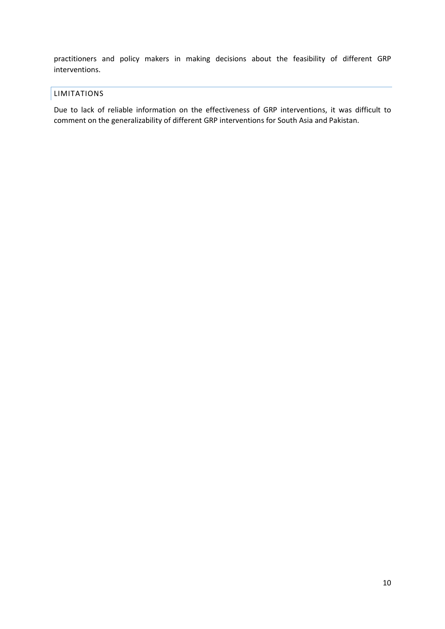practitioners and policy makers in making decisions about the feasibility of different GRP interventions.

## <span id="page-9-0"></span>LIMITATIONS

Due to lack of reliable information on the effectiveness of GRP interventions, it was difficult to comment on the generalizability of different GRP interventions for South Asia and Pakistan.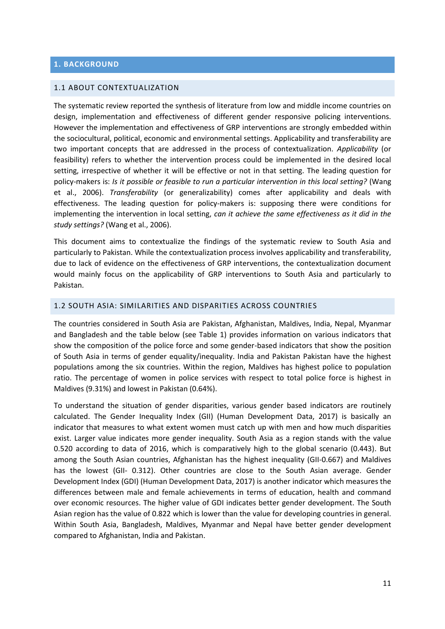#### <span id="page-10-1"></span><span id="page-10-0"></span>1.1 ABOUT CONTEXTUALIZATION

The systematic review reported the synthesis of literature from low and middle income countries on design, implementation and effectiveness of different gender responsive policing interventions. However the implementation and effectiveness of GRP interventions are strongly embedded within the sociocultural, political, economic and environmental settings. Applicability and transferability are two important concepts that are addressed in the process of contextualization. *Applicability* (or feasibility) refers to whether the intervention process could be implemented in the desired local setting, irrespective of whether it will be effective or not in that setting. The leading question for policy-makers is: *Is it possible or feasible to run a particular intervention in this local setting?* (Wang et al., 2006). *Transferability* (or generalizability) comes after applicability and deals with effectiveness. The leading question for policy-makers is: supposing there were conditions for implementing the intervention in local setting, *can it achieve the same effectiveness as it did in the study settings?* (Wang et al., 2006).

This document aims to contextualize the findings of the systematic review to South Asia and particularly to Pakistan. While the contextualization process involves applicability and transferability, due to lack of evidence on the effectiveness of GRP interventions, the contextualization document would mainly focus on the applicability of GRP interventions to South Asia and particularly to Pakistan.

#### <span id="page-10-2"></span>1.2 SOUTH ASIA: SIMILARITIES AND DISPARITIES ACROSS COUNTRIES

The countries considered in South Asia are Pakistan, Afghanistan, Maldives, India, Nepal, Myanmar and Bangladesh and the table below (see Table 1) provides information on various indicators that show the composition of the police force and some gender-based indicators that show the position of South Asia in terms of gender equality/inequality. India and Pakistan Pakistan have the highest populations among the six countries. Within the region, Maldives has highest police to population ratio. The percentage of women in police services with respect to total police force is highest in Maldives (9.31%) and lowest in Pakistan (0.64%).

To understand the situation of gender disparities, various gender based indicators are routinely calculated. The Gender Inequality Index (GII) (Human Development Data, 2017) is basically an indicator that measures to what extent women must catch up with men and how much disparities exist. Larger value indicates more gender inequality. South Asia as a region stands with the value 0.520 according to data of 2016, which is comparatively high to the global scenario (0.443). But among the South Asian countries, Afghanistan has the highest inequality (GII-0.667) and Maldives has the lowest (GII- 0.312). Other countries are close to the South Asian average. Gender Development Index (GDI) (Human Development Data, 2017) is another indicator which measures the differences between male and female achievements in terms of education, health and command over economic resources. The higher value of GDI indicates better gender development. The South Asian region has the value of 0.822 which is lower than the value for developing countries in general. Within South Asia, Bangladesh, Maldives, Myanmar and Nepal have better gender development compared to Afghanistan, India and Pakistan.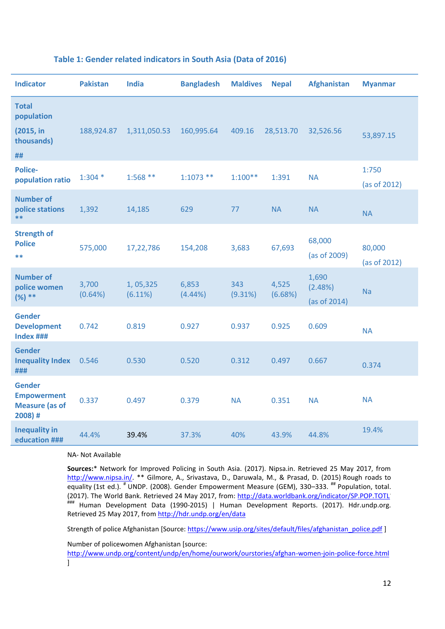| <b>Indicator</b>                                                        | <b>Pakistan</b>  | <b>India</b>        | <b>Bangladesh</b>   | <b>Maldives</b> | <b>Nepal</b>     | <b>Afghanistan</b>               | <b>Myanmar</b>         |
|-------------------------------------------------------------------------|------------------|---------------------|---------------------|-----------------|------------------|----------------------------------|------------------------|
| <b>Total</b><br>population<br>(2015, in<br>thousands)<br>##             | 188,924.87       | 1,311,050.53        | 160,995.64          | 409.16          | 28,513.70        | 32,526.56                        | 53,897.15              |
| <b>Police-</b><br>population ratio                                      | $1:304*$         | $1:568**$           | $1:1073$ **         | $1:100**$       | 1:391            | <b>NA</b>                        | 1:750<br>(as of 2012)  |
| <b>Number of</b><br>police stations<br>**                               | 1,392            | 14,185              | 629                 | 77              | <b>NA</b>        | <b>NA</b>                        | <b>NA</b>              |
| <b>Strength of</b><br><b>Police</b><br>$* *$                            | 575,000          | 17,22,786           | 154,208             | 3,683           | 67,693           | 68,000<br>(as of 2009)           | 80,000<br>(as of 2012) |
| <b>Number of</b><br>police women<br>$(%) **$                            | 3,700<br>(0.64%) | 1,05,325<br>(6.11%) | 6,853<br>$(4.44\%)$ | 343<br>(9.31%)  | 4,525<br>(6.68%) | 1,690<br>(2.48%)<br>(as of 2014) | Na                     |
| <b>Gender</b><br><b>Development</b><br>Index ###                        | 0.742            | 0.819               | 0.927               | 0.937           | 0.925            | 0.609                            | <b>NA</b>              |
| <b>Gender</b><br><b>Inequality Index</b><br>###                         | 0.546            | 0.530               | 0.520               | 0.312           | 0.497            | 0.667                            | 0.374                  |
| <b>Gender</b><br><b>Empowerment</b><br><b>Measure (as of</b><br>2008) # | 0.337            | 0.497               | 0.379               | <b>NA</b>       | 0.351            | <b>NA</b>                        | <b>NA</b>              |
| <b>Inequality in</b><br>education ###                                   | 44.4%            | 39.4%               | 37.3%               | 40%             | 43.9%            | 44.8%                            | 19.4%                  |

#### <span id="page-11-0"></span>**Table 1: Gender related indicators in South Asia (Data of 2016)**

NA- Not Available

**Sources:**\* Network for Improved Policing in South Asia. (2017). Nipsa.in. Retrieved 25 May 2017, from [http://www.nipsa.in/.](http://www.nipsa.in/) \*\* Gilmore, A., Srivastava, D., Daruwala, M., & Prasad, D. (2015) Rough roads to equality (1st ed.). <sup>#</sup> UNDP. (2008). Gender Empowerment Measure (GEM), 330–333. <sup>##</sup> Population, total. (2017). The World Bank. Retrieved 24 May 2017, from:<http://data.worldbank.org/indicator/SP.POP.TOTL> ### Human Development Data (1990-2015) | Human Development Reports. (2017). Hdr.undp.org. Retrieved 25 May 2017, from<http://hdr.undp.org/en/data>

Strength of police Afghanistan [Source: [https://www.usip.org/sites/default/files/afghanistan\\_police.pdf \]](https://www.usip.org/sites/default/files/afghanistan_police.pdf)

Number of policewomen Afghanistan [source:

<http://www.undp.org/content/undp/en/home/ourwork/ourstories/afghan-women-join-police-force.html> ]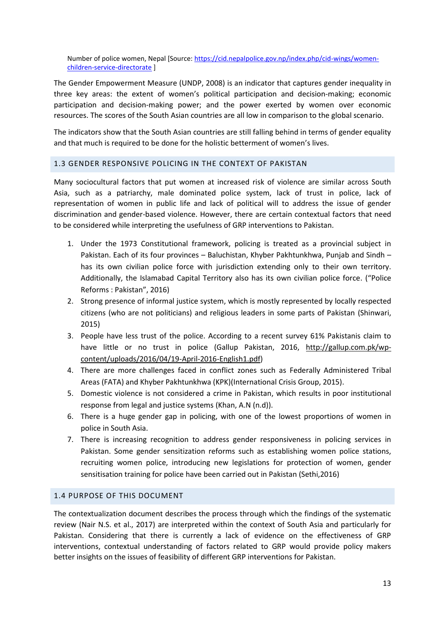Number of police women, Nepal [Source: [https://cid.nepalpolice.gov.np/index.php/cid-wings/women](https://cid.nepalpolice.gov.np/index.php/cid-wings/women-children-service-directorate)[children-service-directorate](https://cid.nepalpolice.gov.np/index.php/cid-wings/women-children-service-directorate) ]

The Gender Empowerment Measure (UNDP, 2008) is an indicator that captures gender inequality in three key areas: the extent of women's political participation and decision-making; economic participation and decision-making power; and the power exerted by women over economic resources. The scores of the South Asian countries are all low in comparison to the global scenario.

The indicators show that the South Asian countries are still falling behind in terms of gender equality and that much is required to be done for the holistic betterment of women's lives.

#### <span id="page-12-0"></span>1.3 GENDER RESPONSIVE POLICING IN THE CONTEXT OF PAKISTAN

Many sociocultural factors that put women at increased risk of violence are similar across South Asia, such as a patriarchy, male dominated police system, lack of trust in police, lack of representation of women in public life and lack of political will to address the issue of gender discrimination and gender-based violence. However, there are certain contextual factors that need to be considered while interpreting the usefulness of GRP interventions to Pakistan.

- 1. Under the 1973 Constitutional framework, policing is treated as a provincial subject in Pakistan. Each of its four provinces – Baluchistan, Khyber Pakhtunkhwa, Punjab and Sindh – has its own civilian police force with jurisdiction extending only to their own territory. Additionally, the Islamabad Capital Territory also has its own civilian police force. ("Police Reforms : Pakistan͟, 2016)
- 2. Strong presence of informal justice system, which is mostly represented by locally respected citizens (who are not politicians) and religious leaders in some parts of Pakistan (Shinwari, 2015)
- 3. People have less trust of the police. According to a recent survey 61% Pakistanis claim to have little or no trust in police (Gallup Pakistan, 2016, [http://gallup.com.pk/wp](http://gallup.com.pk/wp-content/uploads/2016/04/19-April-2016-English1.pdf)[content/uploads/2016/04/19-April-2016-English1.pdf\)](http://gallup.com.pk/wp-content/uploads/2016/04/19-April-2016-English1.pdf)
- 4. There are more challenges faced in conflict zones such as Federally Administered Tribal Areas (FATA) and Khyber Pakhtunkhwa (KPK)(International Crisis Group, 2015).
- 5. Domestic violence is not considered a crime in Pakistan, which results in poor institutional response from legal and justice systems (Khan, A.N (n.d)).
- 6. There is a huge gender gap in policing, with one of the lowest proportions of women in police in South Asia.
- 7. There is increasing recognition to address gender responsiveness in policing services in Pakistan. Some gender sensitization reforms such as establishing women police stations, recruiting women police, introducing new legislations for protection of women, gender sensitisation training for police have been carried out in Pakistan (Sethi,2016)

#### <span id="page-12-1"></span>1.4 PURPOSE OF THIS DOCUMENT

The contextualization document describes the process through which the findings of the systematic review (Nair N.S. et al., 2017) are interpreted within the context of South Asia and particularly for Pakistan. Considering that there is currently a lack of evidence on the effectiveness of GRP interventions, contextual understanding of factors related to GRP would provide policy makers better insights on the issues of feasibility of different GRP interventions for Pakistan.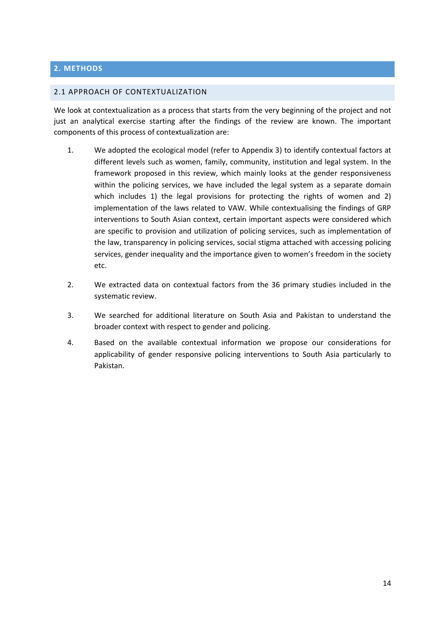## <span id="page-13-0"></span>**2. METHODS**

#### <span id="page-13-1"></span>2.1 APPROACH OF CONTEXTUALIZATION

We look at contextualization as a process that starts from the very beginning of the project and not just an analytical exercise starting after the findings of the review are known. The important components of this process of contextualization are:

- 1. We adopted the ecological model (refer to Appendix 3) to identify contextual factors at different levels such as women, family, community, institution and legal system. In the framework proposed in this review, which mainly looks at the gender responsiveness within the policing services, we have included the legal system as a separate domain which includes 1) the legal provisions for protecting the rights of women and 2) implementation of the laws related to VAW. While contextualising the findings of GRP interventions to South Asian context, certain important aspects were considered which are specific to provision and utilization of policing services, such as implementation of the law, transparency in policing services, social stigma attached with accessing policing services, gender inequality and the importance given to women's freedom in the society etc.
- 2. We extracted data on contextual factors from the 36 primary studies included in the systematic review.
- 3. We searched for additional literature on South Asia and Pakistan to understand the broader context with respect to gender and policing.
- 4. Based on the available contextual information we propose our considerations for applicability of gender responsive policing interventions to South Asia particularly to Pakistan.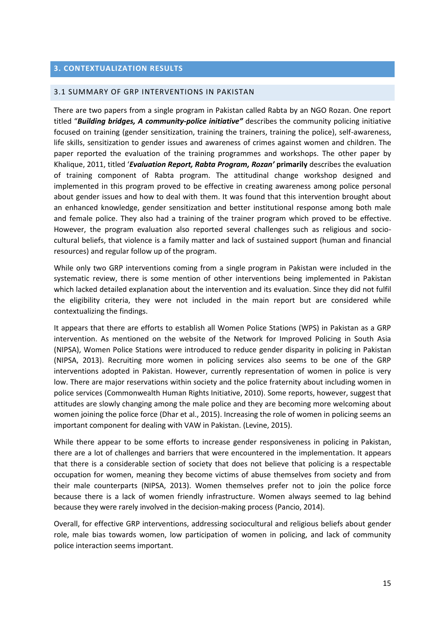## <span id="page-14-0"></span>**3. CONTEXTUALIZATION RESULTS**

#### <span id="page-14-1"></span>3.1 SUMMARY OF GRP INTERVENTIONS IN PAKISTAN

There are two papers from a single program in Pakistan called Rabta by an NGO Rozan. One report titled ͞*Building bridges, A community-police initiative"* describes the community policing initiative focused on training (gender sensitization, training the trainers, training the police), self-awareness, life skills, sensitization to gender issues and awareness of crimes against women and children. The paper reported the evaluation of the training programmes and workshops. The other paper by Khalique, 2011, titled ͚*Evaluation Report, Rabta Program, Rozan'* **primarily** describes the evaluation of training component of Rabta program. The attitudinal change workshop designed and implemented in this program proved to be effective in creating awareness among police personal about gender issues and how to deal with them. It was found that this intervention brought about an enhanced knowledge, gender sensitization and better institutional response among both male and female police. They also had a training of the trainer program which proved to be effective. However, the program evaluation also reported several challenges such as religious and sociocultural beliefs, that violence is a family matter and lack of sustained support (human and financial resources) and regular follow up of the program.

While only two GRP interventions coming from a single program in Pakistan were included in the systematic review, there is some mention of other interventions being implemented in Pakistan which lacked detailed explanation about the intervention and its evaluation. Since they did not fulfil the eligibility criteria, they were not included in the main report but are considered while contextualizing the findings.

It appears that there are efforts to establish all Women Police Stations (WPS) in Pakistan as a GRP intervention. As mentioned on the website of the Network for Improved Policing in South Asia (NIPSA), Women Police Stations were introduced to reduce gender disparity in policing in Pakistan (NIPSA, 2013). Recruiting more women in policing services also seems to be one of the GRP interventions adopted in Pakistan. However, currently representation of women in police is very low. There are major reservations within society and the police fraternity about including women in police services (Commonwealth Human Rights Initiative, 2010). Some reports, however, suggest that attitudes are slowly changing among the male police and they are becoming more welcoming about women joining the police force (Dhar et al., 2015). Increasing the role of women in policing seems an important component for dealing with VAW in Pakistan. (Levine, 2015).

While there appear to be some efforts to increase gender responsiveness in policing in Pakistan, there are a lot of challenges and barriers that were encountered in the implementation. It appears that there is a considerable section of society that does not believe that policing is a respectable occupation for women, meaning they become victims of abuse themselves from society and from their male counterparts (NIPSA, 2013). Women themselves prefer not to join the police force because there is a lack of women friendly infrastructure. Women always seemed to lag behind because they were rarely involved in the decision-making process (Pancio, 2014).

Overall, for effective GRP interventions, addressing sociocultural and religious beliefs about gender role, male bias towards women, low participation of women in policing, and lack of community police interaction seems important.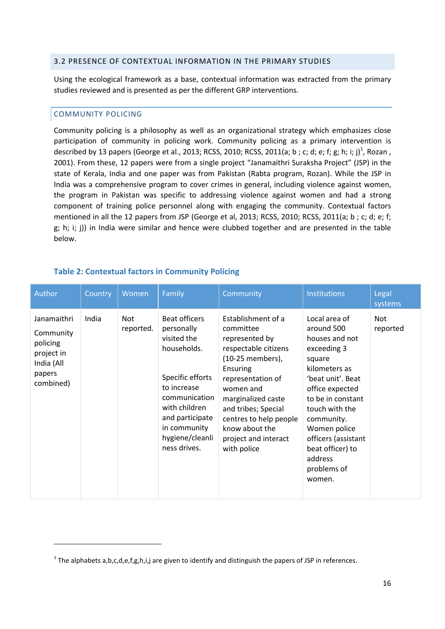#### <span id="page-15-0"></span>3.2 PRESENCE OF CONTEXTUAL INFORMATION IN THE PRIMARY STUDIES

Using the ecological framework as a base, contextual information was extracted from the primary studies reviewed and is presented as per the different GRP interventions.

## <span id="page-15-1"></span>COMMUNITY POLICING

l

Community policing is a philosophy as well as an organizational strategy which emphasizes close participation of community in policing work. Community policing as a primary intervention is described by 13 papers (George et al., 2013; RCSS, 2010; RCSS, 2011(a; b ; c; d; e; f; g; h; i; j) $^1$ , Rozan , 2001). From these, 12 papers were from a single project "Janamaithri Suraksha Project" (JSP) in the state of Kerala, India and one paper was from Pakistan (Rabta program, Rozan). While the JSP in India was a comprehensive program to cover crimes in general, including violence against women, the program in Pakistan was specific to addressing violence against women and had a strong component of training police personnel along with engaging the community. Contextual factors mentioned in all the 12 papers from JSP (George et al, 2013; RCSS, 2010; RCSS, 2011(a; b ; c; d; e; f; g; h; i; j)) in India were similar and hence were clubbed together and are presented in the table below.

| Author                                                                                  | Country | Women                   | Family                                                                                                                                                                                               | Community                                                                                                                                                                                                                                                                   | <b>Institutions</b>                                                                                                                                                                                                                                                                 | Legal<br>systems |
|-----------------------------------------------------------------------------------------|---------|-------------------------|------------------------------------------------------------------------------------------------------------------------------------------------------------------------------------------------------|-----------------------------------------------------------------------------------------------------------------------------------------------------------------------------------------------------------------------------------------------------------------------------|-------------------------------------------------------------------------------------------------------------------------------------------------------------------------------------------------------------------------------------------------------------------------------------|------------------|
| Janamaithri<br>Community<br>policing<br>project in<br>India (All<br>papers<br>combined) | India   | <b>Not</b><br>reported. | Beat officers<br>personally<br>visited the<br>households.<br>Specific efforts<br>to increase<br>communication<br>with children<br>and participate<br>in community<br>hygiene/cleanli<br>ness drives. | Establishment of a<br>committee<br>represented by<br>respectable citizens<br>(10-25 members),<br>Ensuring<br>representation of<br>women and<br>marginalized caste<br>and tribes; Special<br>centres to help people<br>know about the<br>project and interact<br>with police | Local area of<br>around 500<br>houses and not<br>exceeding 3<br>square<br>kilometers as<br>'beat unit'. Beat<br>office expected<br>to be in constant<br>touch with the<br>community.<br>Women police<br>officers (assistant<br>beat officer) to<br>address<br>problems of<br>women. | Not<br>reported  |

## <span id="page-15-2"></span>**Table 2: Contextual factors in Community Policing**

<sup>&</sup>lt;sup>1</sup> The alphabets a,b,c,d,e,f,g,h,i,j are given to identify and distinguish the papers of JSP in references.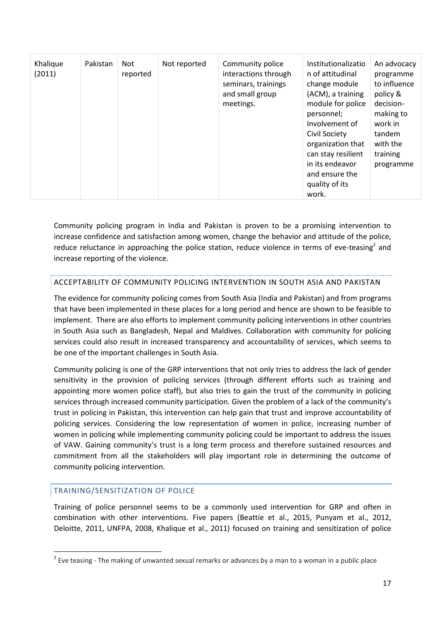| Khalique<br>(2011) | Pakistan | Not<br>reported | Not reported | Community police<br>interactions through<br>seminars, trainings<br>and small group<br>meetings. | Institutionalizatio<br>n of attitudinal<br>change module<br>(ACM), a training<br>module for police<br>personnel;<br>Involvement of<br>Civil Society<br>organization that<br>can stay resilient<br>in its endeavor<br>and ensure the | An advocacy<br>programme<br>to influence<br>policy &<br>decision-<br>making to<br>work in<br>tandem<br>with the<br>training<br>programme |
|--------------------|----------|-----------------|--------------|-------------------------------------------------------------------------------------------------|-------------------------------------------------------------------------------------------------------------------------------------------------------------------------------------------------------------------------------------|------------------------------------------------------------------------------------------------------------------------------------------|
|                    |          |                 |              |                                                                                                 | quality of its<br>work.                                                                                                                                                                                                             |                                                                                                                                          |

Community policing program in India and Pakistan is proven to be a promising intervention to increase confidence and satisfaction among women, change the behavior and attitude of the police, reduce reluctance in approaching the police station, reduce violence in terms of eve-teasing<sup>2</sup> and increase reporting of the violence.

#### ACCEPTABILITY OF COMMUNITY POLICING INTERVENTION IN SOUTH ASIA AND PAKISTAN

The evidence for community policing comes from South Asia (India and Pakistan) and from programs that have been implemented in these places for a long period and hence are shown to be feasible to implement. There are also efforts to implement community policing interventions in other countries in South Asia such as Bangladesh, Nepal and Maldives. Collaboration with community for policing services could also result in increased transparency and accountability of services, which seems to be one of the important challenges in South Asia.

Community policing is one of the GRP interventions that not only tries to address the lack of gender sensitivity in the provision of policing services (through different efforts such as training and appointing more women police staff), but also tries to gain the trust of the community in policing services through increased community participation. Given the problem of a lack of the community's trust in policing in Pakistan, this intervention can help gain that trust and improve accountability of policing services. Considering the low representation of women in police, increasing number of women in policing while implementing community policing could be important to address the issues of VAW. Gaining community's trust is a long term process and therefore sustained resources and commitment from all the stakeholders will play important role in determining the outcome of community policing intervention.

## <span id="page-16-0"></span>TRAINING/SENSITIZATION OF POLICE

 $\overline{a}$ 

Training of police personnel seems to be a commonly used intervention for GRP and often in combination with other interventions. Five papers (Beattie et al., 2015, Punyam et al., 2012, Deloitte, 2011, UNFPA, 2008, Khalique et al., 2011) focused on training and sensitization of police

 $^{2}$  Eve teasing - The making of unwanted sexual remarks or advances by a man to a woman in a public place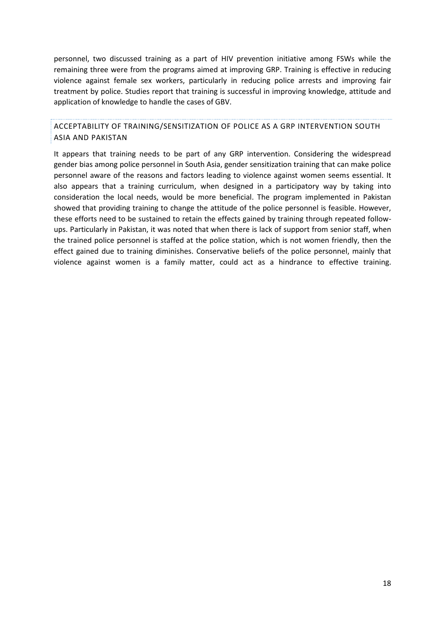personnel, two discussed training as a part of HIV prevention initiative among FSWs while the remaining three were from the programs aimed at improving GRP. Training is effective in reducing violence against female sex workers, particularly in reducing police arrests and improving fair treatment by police. Studies report that training is successful in improving knowledge, attitude and application of knowledge to handle the cases of GBV.

ACCEPTABILITY OF TRAINING/SENSITIZATION OF POLICE AS A GRP INTERVENTION SOUTH ASIA AND PAKISTAN

It appears that training needs to be part of any GRP intervention. Considering the widespread gender bias among police personnel in South Asia, gender sensitization training that can make police personnel aware of the reasons and factors leading to violence against women seems essential. It also appears that a training curriculum, when designed in a participatory way by taking into consideration the local needs, would be more beneficial. The program implemented in Pakistan showed that providing training to change the attitude of the police personnel is feasible. However, these efforts need to be sustained to retain the effects gained by training through repeated followups. Particularly in Pakistan, it was noted that when there is lack of support from senior staff, when the trained police personnel is staffed at the police station, which is not women friendly, then the effect gained due to training diminishes. Conservative beliefs of the police personnel, mainly that violence against women is a family matter, could act as a hindrance to effective training.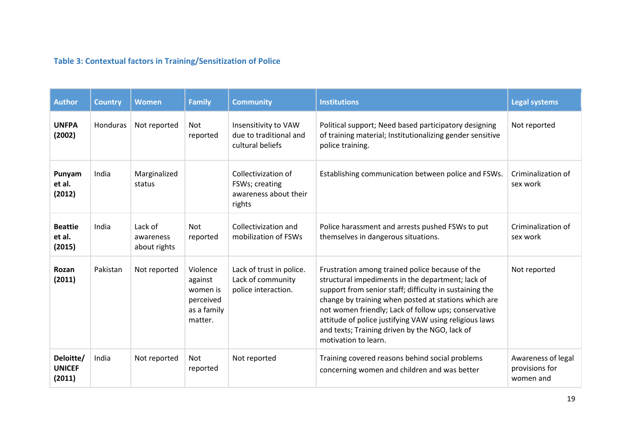# **Table 3: Contextual factors in Training/Sensitization of Police**

<span id="page-18-0"></span>

| <b>Author</b>                        | <b>Country</b> | <b>Women</b>                         | <b>Family</b>                                                          | <b>Community</b>                                                         | <b>Institutions</b>                                                                                                                                                                                                                                                                                                                                                                                                 | <b>Legal systems</b>                              |
|--------------------------------------|----------------|--------------------------------------|------------------------------------------------------------------------|--------------------------------------------------------------------------|---------------------------------------------------------------------------------------------------------------------------------------------------------------------------------------------------------------------------------------------------------------------------------------------------------------------------------------------------------------------------------------------------------------------|---------------------------------------------------|
| <b>UNFPA</b><br>(2002)               | Honduras       | Not reported                         | <b>Not</b><br>reported                                                 | Insensitivity to VAW<br>due to traditional and<br>cultural beliefs       | Political support; Need based participatory designing<br>of training material; Institutionalizing gender sensitive<br>police training.                                                                                                                                                                                                                                                                              | Not reported                                      |
| Punyam<br>et al.<br>(2012)           | India          | Marginalized<br>status               |                                                                        | Collectivization of<br>FSWs; creating<br>awareness about their<br>rights | Establishing communication between police and FSWs.                                                                                                                                                                                                                                                                                                                                                                 | Criminalization of<br>sex work                    |
| <b>Beattie</b><br>et al.<br>(2015)   | India          | Lack of<br>awareness<br>about rights | <b>Not</b><br>reported                                                 | Collectivization and<br>mobilization of FSWs                             | Police harassment and arrests pushed FSWs to put<br>themselves in dangerous situations.                                                                                                                                                                                                                                                                                                                             | Criminalization of<br>sex work                    |
| Rozan<br>(2011)                      | Pakistan       | Not reported                         | Violence<br>against<br>women is<br>perceived<br>as a family<br>matter. | Lack of trust in police.<br>Lack of community<br>police interaction.     | Frustration among trained police because of the<br>structural impediments in the department; lack of<br>support from senior staff; difficulty in sustaining the<br>change by training when posted at stations which are<br>not women friendly; Lack of follow ups; conservative<br>attitude of police justifying VAW using religious laws<br>and texts; Training driven by the NGO, lack of<br>motivation to learn. | Not reported                                      |
| Deloitte/<br><b>UNICEF</b><br>(2011) | India          | Not reported                         | <b>Not</b><br>reported                                                 | Not reported                                                             | Training covered reasons behind social problems<br>concerning women and children and was better                                                                                                                                                                                                                                                                                                                     | Awareness of legal<br>provisions for<br>women and |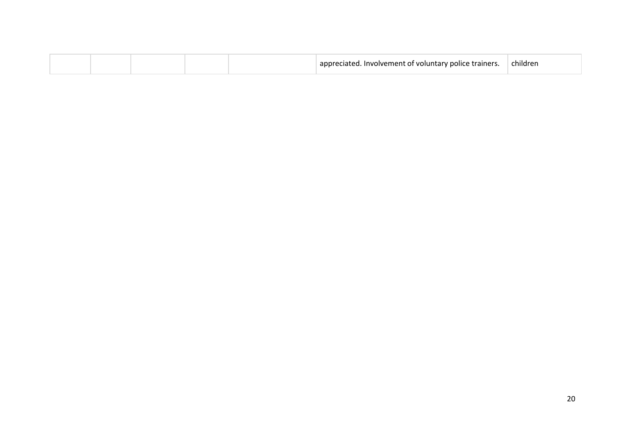|  | oluntary police trainers.<br><b>INVOIVAMANT</b><br>$^{\circ}$ $^{\circ}$ | . .<br>muare |
|--|--------------------------------------------------------------------------|--------------|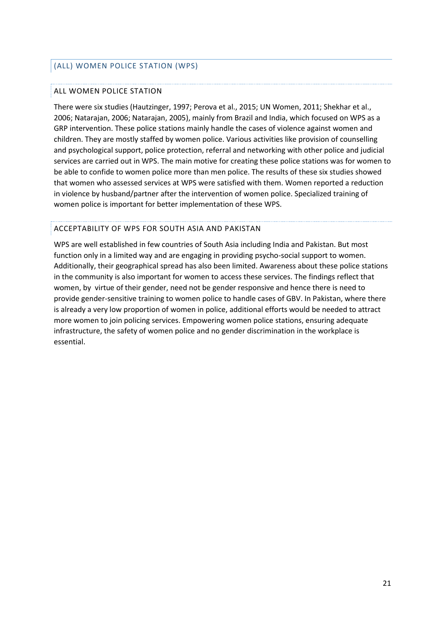## <span id="page-20-0"></span>(ALL) WOMEN POLICE STATION (WPS)

#### ALL WOMEN POLICE STATION

There were six studies (Hautzinger, 1997; Perova et al., 2015; UN Women, 2011; Shekhar et al., 2006; Natarajan, 2006; Natarajan, 2005), mainly from Brazil and India, which focused on WPS as a GRP intervention. These police stations mainly handle the cases of violence against women and children. They are mostly staffed by women police. Various activities like provision of counselling and psychological support, police protection, referral and networking with other police and judicial services are carried out in WPS. The main motive for creating these police stations was for women to be able to confide to women police more than men police. The results of these six studies showed that women who assessed services at WPS were satisfied with them. Women reported a reduction in violence by husband/partner after the intervention of women police. Specialized training of women police is important for better implementation of these WPS.

## ACCEPTABILITY OF WPS FOR SOUTH ASIA AND PAKISTAN

WPS are well established in few countries of South Asia including India and Pakistan. But most function only in a limited way and are engaging in providing psycho-social support to women. Additionally, their geographical spread has also been limited. Awareness about these police stations in the community is also important for women to access these services. The findings reflect that women, by virtue of their gender, need not be gender responsive and hence there is need to provide gender-sensitive training to women police to handle cases of GBV. In Pakistan, where there is already a very low proportion of women in police, additional efforts would be needed to attract more women to join policing services. Empowering women police stations, ensuring adequate infrastructure, the safety of women police and no gender discrimination in the workplace is essential.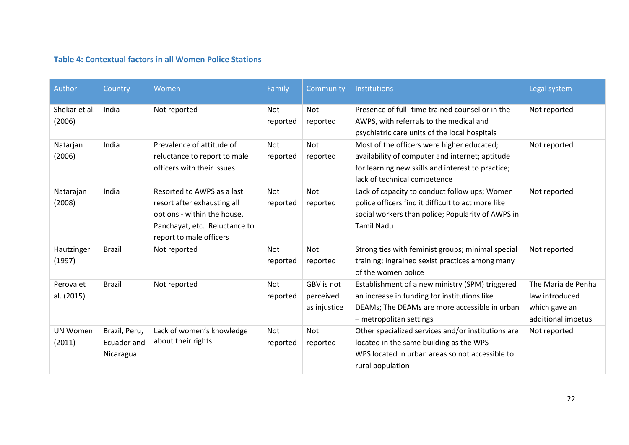## **Table 4: Contextual factors in all Women Police Stations**

| Author                    | Country                                   | Women                                                                                                                                                | Family                 | Community                               | Institutions                                                                                                                                                                       | Legal system                                                                |
|---------------------------|-------------------------------------------|------------------------------------------------------------------------------------------------------------------------------------------------------|------------------------|-----------------------------------------|------------------------------------------------------------------------------------------------------------------------------------------------------------------------------------|-----------------------------------------------------------------------------|
| Shekar et al.<br>(2006)   | India                                     | Not reported                                                                                                                                         | Not<br>reported        | <b>Not</b><br>reported                  | Presence of full-time trained counsellor in the<br>AWPS, with referrals to the medical and<br>psychiatric care units of the local hospitals                                        | Not reported                                                                |
| Natarjan<br>(2006)        | India                                     | Prevalence of attitude of<br>reluctance to report to male<br>officers with their issues                                                              | <b>Not</b><br>reported | <b>Not</b><br>reported                  | Most of the officers were higher educated;<br>availability of computer and internet; aptitude<br>for learning new skills and interest to practice;<br>lack of technical competence | Not reported                                                                |
| Natarajan<br>(2008)       | India                                     | Resorted to AWPS as a last<br>resort after exhausting all<br>options - within the house,<br>Panchayat, etc. Reluctance to<br>report to male officers | Not<br>reported        | <b>Not</b><br>reported                  | Lack of capacity to conduct follow ups; Women<br>police officers find it difficult to act more like<br>social workers than police; Popularity of AWPS in<br><b>Tamil Nadu</b>      | Not reported                                                                |
| Hautzinger<br>(1997)      | <b>Brazil</b>                             | Not reported                                                                                                                                         | Not<br>reported        | Not<br>reported                         | Strong ties with feminist groups; minimal special<br>training; Ingrained sexist practices among many<br>of the women police                                                        | Not reported                                                                |
| Perova et<br>al. (2015)   | <b>Brazil</b>                             | Not reported                                                                                                                                         | <b>Not</b><br>reported | GBV is not<br>perceived<br>as injustice | Establishment of a new ministry (SPM) triggered<br>an increase in funding for institutions like<br>DEAMs; The DEAMs are more accessible in urban<br>- metropolitan settings        | The Maria de Penha<br>law introduced<br>which gave an<br>additional impetus |
| <b>UN Women</b><br>(2011) | Brazil, Peru,<br>Ecuador and<br>Nicaragua | Lack of women's knowledge<br>about their rights                                                                                                      | <b>Not</b><br>reported | <b>Not</b><br>reported                  | Other specialized services and/or institutions are<br>located in the same building as the WPS<br>WPS located in urban areas so not accessible to<br>rural population               | Not reported                                                                |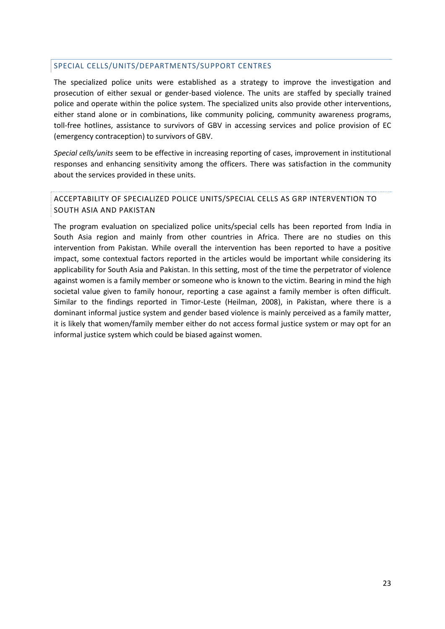#### <span id="page-22-0"></span>SPECIAL CELLS/UNITS/DEPARTMENTS/SUPPORT CENTRES

The specialized police units were established as a strategy to improve the investigation and prosecution of either sexual or gender-based violence. The units are staffed by specially trained police and operate within the police system. The specialized units also provide other interventions, either stand alone or in combinations, like community policing, community awareness programs, toll-free hotlines, assistance to survivors of GBV in accessing services and police provision of EC (emergency contraception) to survivors of GBV.

*Special cells/units* seem to be effective in increasing reporting of cases, improvement in institutional responses and enhancing sensitivity among the officers. There was satisfaction in the community about the services provided in these units.

## ACCEPTABILITY OF SPECIALIZED POLICE UNITS/SPECIAL CELLS AS GRP INTERVENTION TO SOUTH ASIA AND PAKISTAN

The program evaluation on specialized police units/special cells has been reported from India in South Asia region and mainly from other countries in Africa. There are no studies on this intervention from Pakistan. While overall the intervention has been reported to have a positive impact, some contextual factors reported in the articles would be important while considering its applicability for South Asia and Pakistan. In this setting, most of the time the perpetrator of violence against women is a family member or someone who is known to the victim. Bearing in mind the high societal value given to family honour, reporting a case against a family member is often difficult. Similar to the findings reported in Timor-Leste (Heilman, 2008), in Pakistan, where there is a dominant informal justice system and gender based violence is mainly perceived as a family matter, it is likely that women/family member either do not access formal justice system or may opt for an informal justice system which could be biased against women.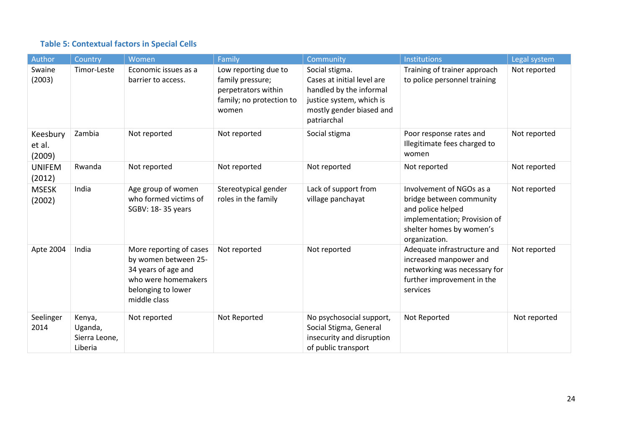# **Table 5: Contextual factors in Special Cells**

| Author                       | Country                                       | Women                                                                                                                               | Family                                                                                               | <b>Community</b>                                                                                                                               | <b>Institutions</b>                                                                                                                                    | Legal system |
|------------------------------|-----------------------------------------------|-------------------------------------------------------------------------------------------------------------------------------------|------------------------------------------------------------------------------------------------------|------------------------------------------------------------------------------------------------------------------------------------------------|--------------------------------------------------------------------------------------------------------------------------------------------------------|--------------|
| Swaine<br>(2003)             | Timor-Leste                                   | Economic issues as a<br>barrier to access.                                                                                          | Low reporting due to<br>family pressure;<br>perpetrators within<br>family; no protection to<br>women | Social stigma.<br>Cases at initial level are<br>handled by the informal<br>justice system, which is<br>mostly gender biased and<br>patriarchal | Training of trainer approach<br>to police personnel training                                                                                           | Not reported |
| Keesbury<br>et al.<br>(2009) | Zambia                                        | Not reported                                                                                                                        | Not reported                                                                                         | Social stigma                                                                                                                                  | Poor response rates and<br>Illegitimate fees charged to<br>women                                                                                       | Not reported |
| <b>UNIFEM</b><br>(2012)      | Rwanda                                        | Not reported                                                                                                                        | Not reported                                                                                         | Not reported                                                                                                                                   | Not reported                                                                                                                                           | Not reported |
| <b>MSESK</b><br>(2002)       | India                                         | Age group of women<br>who formed victims of<br>SGBV: 18-35 years                                                                    | Stereotypical gender<br>roles in the family                                                          | Lack of support from<br>village panchayat                                                                                                      | Involvement of NGOs as a<br>bridge between community<br>and police helped<br>implementation; Provision of<br>shelter homes by women's<br>organization. | Not reported |
| Apte 2004                    | India                                         | More reporting of cases<br>by women between 25-<br>34 years of age and<br>who were homemakers<br>belonging to lower<br>middle class | Not reported                                                                                         | Not reported                                                                                                                                   | Adequate infrastructure and<br>increased manpower and<br>networking was necessary for<br>further improvement in the<br>services                        | Not reported |
| Seelinger<br>2014            | Kenya,<br>Uganda,<br>Sierra Leone,<br>Liberia | Not reported                                                                                                                        | Not Reported                                                                                         | No psychosocial support,<br>Social Stigma, General<br>insecurity and disruption<br>of public transport                                         | Not Reported                                                                                                                                           | Not reported |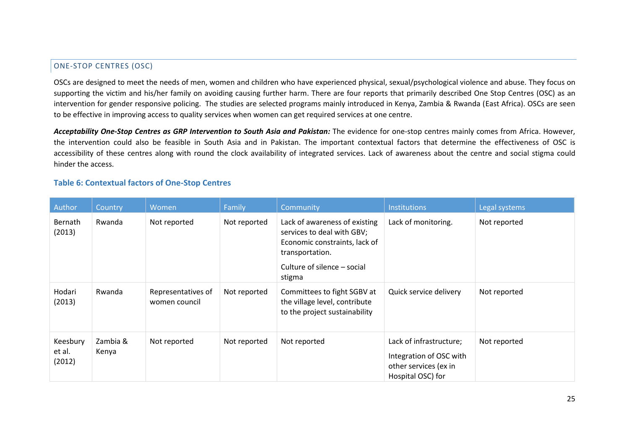## ONE-STOP CENTRES (OSC)

OSCs are designed to meet the needs of men, women and children who have experienced physical, sexual/psychological violence and abuse. They focus on supporting the victim and his/her family on avoiding causing further harm. There are four reports that primarily described One Stop Centres (OSC) as an intervention for gender responsive policing. The studies are selected programs mainly introduced in Kenya, Zambia & Rwanda (East Africa). OSCs are seen to be effective in improving access to quality services when women can get required services at one centre.

Acceptability One-Stop Centres as GRP Intervention to South Asia and Pakistan: The evidence for one-stop centres mainly comes from Africa. However, the intervention could also be feasible in South Asia and in Pakistan. The important contextual factors that determine the effectiveness of OSC is accessibility of these centres along with round the clock availability of integrated services. Lack of awareness about the centre and social stigma could hinder the access.

## **Table 6: Contextual factors of One-Stop Centres**

<span id="page-24-0"></span>

| Author                       | Country           | Women                               | Family       | Community                                                                                                                                                | <b>Institutions</b>                                                                              | Legal systems |
|------------------------------|-------------------|-------------------------------------|--------------|----------------------------------------------------------------------------------------------------------------------------------------------------------|--------------------------------------------------------------------------------------------------|---------------|
| Bernath<br>(2013)            | Rwanda            | Not reported                        | Not reported | Lack of awareness of existing<br>services to deal with GBV;<br>Economic constraints, lack of<br>transportation.<br>Culture of silence – social<br>stigma | Lack of monitoring.                                                                              | Not reported  |
| Hodari<br>(2013)             | Rwanda            | Representatives of<br>women council | Not reported | Committees to fight SGBV at<br>the village level, contribute<br>to the project sustainability                                                            | Quick service delivery                                                                           | Not reported  |
| Keesbury<br>et al.<br>(2012) | Zambia &<br>Kenya | Not reported                        | Not reported | Not reported                                                                                                                                             | Lack of infrastructure;<br>Integration of OSC with<br>other services (ex in<br>Hospital OSC) for | Not reported  |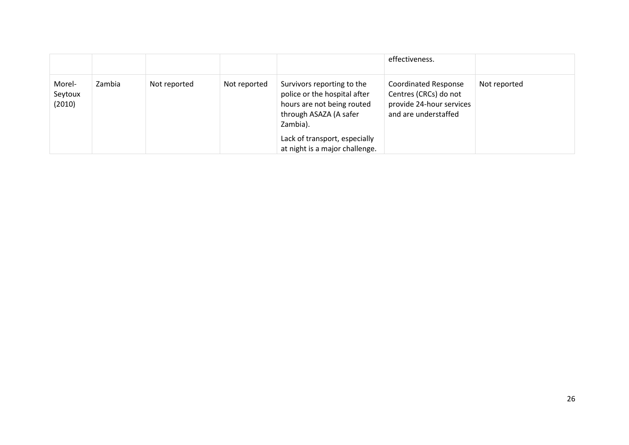|                             |        |              |              |                                                                                                                                                                 | effectiveness.                                                                                           |              |
|-----------------------------|--------|--------------|--------------|-----------------------------------------------------------------------------------------------------------------------------------------------------------------|----------------------------------------------------------------------------------------------------------|--------------|
| Morel-<br>Seytoux<br>(2010) | Zambia | Not reported | Not reported | Survivors reporting to the<br>police or the hospital after<br>hours are not being routed<br>through ASAZA (A safer<br>Zambia).<br>Lack of transport, especially | <b>Coordinated Response</b><br>Centres (CRCs) do not<br>provide 24-hour services<br>and are understaffed | Not reported |
|                             |        |              |              | at night is a major challenge.                                                                                                                                  |                                                                                                          |              |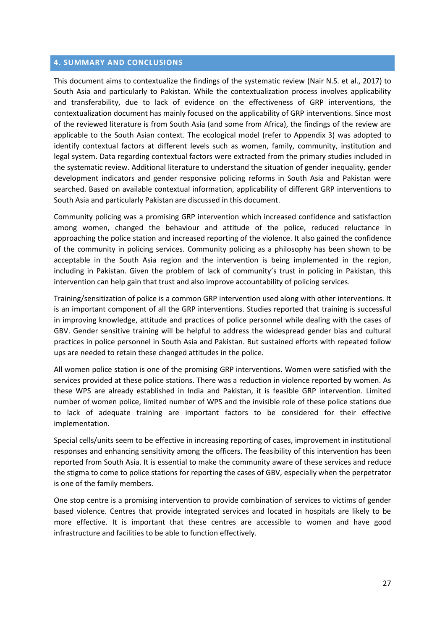#### <span id="page-26-0"></span>**4. SUMMARY AND CONCLUSIONS**

This document aims to contextualize the findings of the systematic review (Nair N.S. et al., 2017) to South Asia and particularly to Pakistan. While the contextualization process involves applicability and transferability, due to lack of evidence on the effectiveness of GRP interventions, the contextualization document has mainly focused on the applicability of GRP interventions. Since most of the reviewed literature is from South Asia (and some from Africa), the findings of the review are applicable to the South Asian context. The ecological model (refer to Appendix 3) was adopted to identify contextual factors at different levels such as women, family, community, institution and legal system. Data regarding contextual factors were extracted from the primary studies included in the systematic review. Additional literature to understand the situation of gender inequality, gender development indicators and gender responsive policing reforms in South Asia and Pakistan were searched. Based on available contextual information, applicability of different GRP interventions to South Asia and particularly Pakistan are discussed in this document.

Community policing was a promising GRP intervention which increased confidence and satisfaction among women, changed the behaviour and attitude of the police, reduced reluctance in approaching the police station and increased reporting of the violence. It also gained the confidence of the community in policing services. Community policing as a philosophy has been shown to be acceptable in the South Asia region and the intervention is being implemented in the region, including in Pakistan. Given the problem of lack of community's trust in policing in Pakistan, this intervention can help gain that trust and also improve accountability of policing services.

Training/sensitization of police is a common GRP intervention used along with other interventions. It is an important component of all the GRP interventions. Studies reported that training is successful in improving knowledge, attitude and practices of police personnel while dealing with the cases of GBV. Gender sensitive training will be helpful to address the widespread gender bias and cultural practices in police personnel in South Asia and Pakistan. But sustained efforts with repeated follow ups are needed to retain these changed attitudes in the police.

All women police station is one of the promising GRP interventions. Women were satisfied with the services provided at these police stations. There was a reduction in violence reported by women. As these WPS are already established in India and Pakistan, it is feasible GRP intervention. Limited number of women police, limited number of WPS and the invisible role of these police stations due to lack of adequate training are important factors to be considered for their effective implementation.

Special cells/units seem to be effective in increasing reporting of cases, improvement in institutional responses and enhancing sensitivity among the officers. The feasibility of this intervention has been reported from South Asia. It is essential to make the community aware of these services and reduce the stigma to come to police stations for reporting the cases of GBV, especially when the perpetrator is one of the family members.

One stop centre is a promising intervention to provide combination of services to victims of gender based violence. Centres that provide integrated services and located in hospitals are likely to be more effective. It is important that these centres are accessible to women and have good infrastructure and facilities to be able to function effectively.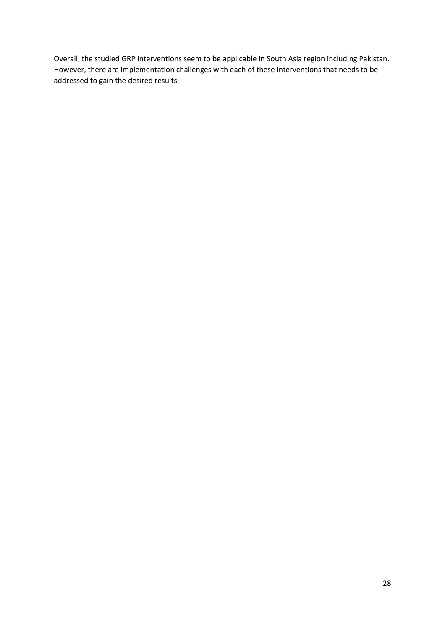Overall, the studied GRP interventions seem to be applicable in South Asia region including Pakistan. However, there are implementation challenges with each of these interventions that needs to be addressed to gain the desired results.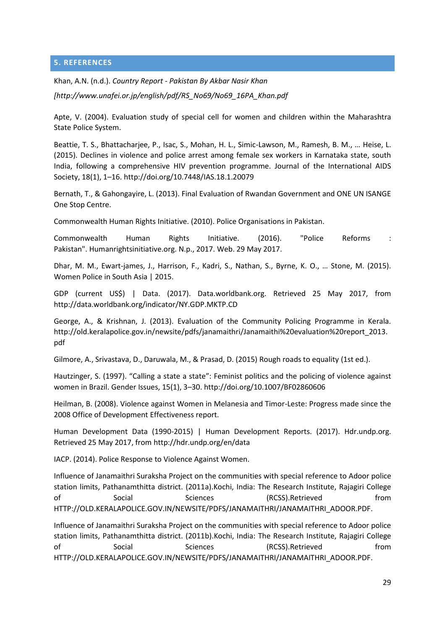#### <span id="page-28-0"></span>**5. REFERENCES**

Khan, A.N. (n.d.). *Country Report - Pakistan By Akbar Nasir Khan* 

*[http://www.unafei.or.jp/english/pdf/RS\_No69/No69\_16PA\_Khan.pdf* 

Apte, V. (2004). Evaluation study of special cell for women and children within the Maharashtra State Police System.

Beattie, T. S., Bhattacharjee, P., Isac, S., Mohan, H. L., Simic-Lawson, M., Ramesh, B. M., ... Heise, L. (2015). Declines in violence and police arrest among female sex workers in Karnataka state, south India, following a comprehensive HIV prevention programme. Journal of the International AIDS Society, 18(1), 1–16. http://doi.org/10.7448/IAS.18.1.20079

Bernath, T., & Gahongayire, L. (2013). Final Evaluation of Rwandan Government and ONE UN ISANGE One Stop Centre.

Commonwealth Human Rights Initiative. (2010). Police Organisations in Pakistan.

Commonwealth Human Rights Initiative. (2016). "Police Reforms : Pakistan". Humanrightsinitiative.org. N.p., 2017. Web. 29 May 2017.

Dhar, M. M., Ewart-james, J., Harrison, F., Kadri, S., Nathan, S., Byrne, K. O., ... Stone, M. (2015). Women Police in South Asia | 2015.

GDP (current US\$) | Data. (2017). Data.worldbank.org. Retrieved 25 May 2017, from http://data.worldbank.org/indicator/NY.GDP.MKTP.CD

George, A., & Krishnan, J. (2013). Evaluation of the Community Policing Programme in Kerala. http://old.keralapolice.gov.in/newsite/pdfs/janamaithri/Janamaithi%20evaluation%20report\_2013. pdf

Gilmore, A., Srivastava, D., Daruwala, M., & Prasad, D. (2015) Rough roads to equality (1st ed.).

Hautzinger, S. (1997). "Calling a state a state": Feminist politics and the policing of violence against women in Brazil. Gender Issues, 15(1), 3–30. http://doi.org/10.1007/BF02860606

Heilman, B. (2008). Violence against Women in Melanesia and Timor-Leste: Progress made since the 2008 Office of Development Effectiveness report.

Human Development Data (1990-2015) | Human Development Reports. (2017). Hdr.undp.org. Retrieved 25 May 2017, from<http://hdr.undp.org/en/data>

IACP. (2014). Police Response to Violence Against Women.

Influence of Janamaithri Suraksha Project on the communities with special reference to Adoor police station limits, Pathanamthitta district. (2011a).Kochi, India: The Research Institute, Rajagiri College of Social Sciences (RCSS).Retrieved from [HTTP://OLD.KERALAPOLICE.GOV.IN/NEWSITE/PDFS/JANAMAITHRI/JANAMAITHRI\\_ADOOR.PDF.](http://old.keralapolice.gov.in/newsite/pdfs/janamaithri/janamaithri_adoor.pdf)

Influence of Janamaithri Suraksha Project on the communities with special reference to Adoor police station limits, Pathanamthitta district. (2011b).Kochi, India: The Research Institute, Rajagiri College of Social Sciences (RCSS).Retrieved from [HTTP://OLD.KERALAPOLICE.GOV.IN/NEWSITE/PDFS/JANAMAITHRI/JANAMAITHRI\\_ADOOR.PDF.](http://old.keralapolice.gov.in/newsite/pdfs/janamaithri/janamaithri_adoor.pdf)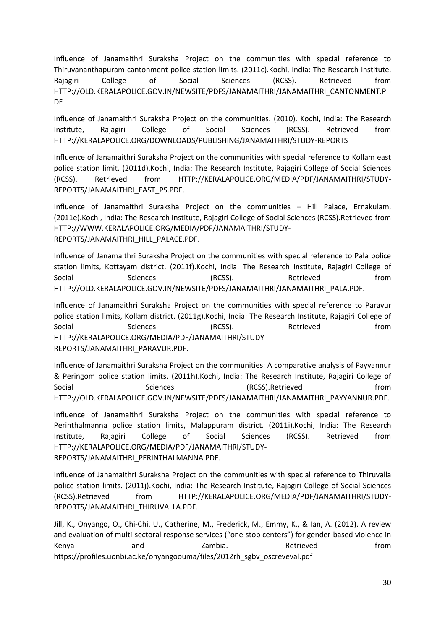Influence of Janamaithri Suraksha Project on the communities with special reference to Thiruvananthapuram cantonment police station limits. (2011c).Kochi, India: The Research Institute, Rajagiri College of Social Sciences (RCSS). Retrieved from [HTTP://OLD.KERALAPOLICE.GOV.IN/NEWSITE/PDFS/JANAMAITHRI/JANAMAITHRI\\_CANTONMENT.P](http://old.keralapolice.gov.in/NEWSITE/PDFS/JANAMAITHRI/JANAMAITHRI_CANTONMENT.PDF) [DF](http://old.keralapolice.gov.in/NEWSITE/PDFS/JANAMAITHRI/JANAMAITHRI_CANTONMENT.PDF) 

Influence of Janamaithri Suraksha Project on the communities. (2010). Kochi, India: The Research Institute, Rajagiri College of Social Sciences (RCSS). Retrieved from [HTTP://KERALAPOLICE.ORG/DOWNLOADS/PUBLISHING/JANAMAITHRI/STUDY-REPORTS](http://keralapolice.org/DOWNLOADS/PUBLISHING/JANAMAITHRI/STUDY-REPORTS) 

Influence of Janamaithri Suraksha Project on the communities with special reference to Kollam east police station limit. (2011d).Kochi, India: The Research Institute, Rajagiri College of Social Sciences (RCSS). Retrieved from [HTTP://KERALAPOLICE.ORG/MEDIA/PDF/JANAMAITHRI/STUDY-](http://keralapolice.org/MEDIA/PDF/JANAMAITHRI/STUDY-REPORTS/JANAMAITHRI_EAST_PS.PDF)[REPORTS/JANAMAITHRI\\_EAST\\_PS.PDF.](http://keralapolice.org/MEDIA/PDF/JANAMAITHRI/STUDY-REPORTS/JANAMAITHRI_EAST_PS.PDF)

Influence of Janamaithri Suraksha Project on the communities – Hill Palace, Ernakulam. (2011e).Kochi, India: The Research Institute, Rajagiri College of Social Sciences (RCSS).Retrieved from [HTTP://WWW.KERALAPOLICE.ORG/MEDIA/PDF/JANAMAITHRI/STUDY-](http://www.keralapolice.org/MEDIA/PDF/JANAMAITHRI/STUDY-REPORTS/JANAMAITHRI_HILL_PALACE.PDF)[REPORTS/JANAMAITHRI\\_HILL\\_PALACE.PDF.](http://www.keralapolice.org/MEDIA/PDF/JANAMAITHRI/STUDY-REPORTS/JANAMAITHRI_HILL_PALACE.PDF)

Influence of Janamaithri Suraksha Project on the communities with special reference to Pala police station limits, Kottayam district. (2011f).Kochi, India: The Research Institute, Rajagiri College of Social Sciences (RCSS). Retrieved from [HTTP://OLD.KERALAPOLICE.GOV.IN/NEWSITE/PDFS/JANAMAITHRI/JANAMAITHRI\\_PALA.PDF.](http://old.keralapolice.gov.in/NEWSITE/PDFS/JANAMAITHRI/JANAMAITHRI_PALA.PDF)

Influence of Janamaithri Suraksha Project on the communities with special reference to Paravur police station limits, Kollam district. (2011g).Kochi, India: The Research Institute, Rajagiri College of Social Sciences (RCSS). Retrieved from [HTTP://KERALAPOLICE.ORG/MEDIA/PDF/JANAMAITHRI/STUDY-](http://keralapolice.org/MEDIA/PDF/JANAMAITHRI/STUDY-REPORTS/JANAMAITHRI_PARAVUR.PDF)[REPORTS/JANAMAITHRI\\_PARAVUR.PDF.](http://keralapolice.org/MEDIA/PDF/JANAMAITHRI/STUDY-REPORTS/JANAMAITHRI_PARAVUR.PDF)

Influence of Janamaithri Suraksha Project on the communities: A comparative analysis of Payyannur & Peringom police station limits. (2011h).Kochi, India: The Research Institute, Rajagiri College of Social Sciences (RCSS).Retrieved from [HTTP://OLD.KERALAPOLICE.GOV.IN/NEWSITE/PDFS/JANAMAITHRI/JANAMAITHRI\\_PAYYANNUR.PDF.](http://old.keralapolice.gov.in/NEWSITE/PDFS/JANAMAITHRI/JANAMAITHRI_PAYYANNUR.PDF)

Influence of Janamaithri Suraksha Project on the communities with special reference to Perinthalmanna police station limits, Malappuram district. (2011i).Kochi, India: The Research Institute, Rajagiri College of Social Sciences (RCSS). Retrieved from [HTTP://KERALAPOLICE.ORG/MEDIA/PDF/JANAMAITHRI/STUDY-](http://keralapolice.org/MEDIA/PDF/JANAMAITHRI/STUDY-REPORTS/JANAMAITHRI_PERINTHALMANNA.PDF)[REPORTS/JANAMAITHRI\\_PERINTHALMANNA.PDF.](http://keralapolice.org/MEDIA/PDF/JANAMAITHRI/STUDY-REPORTS/JANAMAITHRI_PERINTHALMANNA.PDF)

Influence of Janamaithri Suraksha Project on the communities with special reference to Thiruvalla police station limits. (2011j).Kochi, India: The Research Institute, Rajagiri College of Social Sciences (RCSS).Retrieved from [HTTP://KERALAPOLICE.ORG/MEDIA/PDF/JANAMAITHRI/STUDY-](http://keralapolice.org/MEDIA/PDF/JANAMAITHRI/STUDY-REPORTS/JANAMAITHRI_THIRUVALLA.PDF)[REPORTS/JANAMAITHRI\\_THIRUVALLA.PDF.](http://keralapolice.org/MEDIA/PDF/JANAMAITHRI/STUDY-REPORTS/JANAMAITHRI_THIRUVALLA.PDF)

Jill, K., Onyango, O., Chi-Chi, U., Catherine, M., Frederick, M., Emmy, K., & Ian, A. (2012). A review and evaluation of multi-sectoral response services ("one-stop centers") for gender-based violence in Kenya and Zambia. Retrieved from https://profiles.uonbi.ac.ke/onyangoouma/files/2012rh\_sgbv\_oscreveval.pdf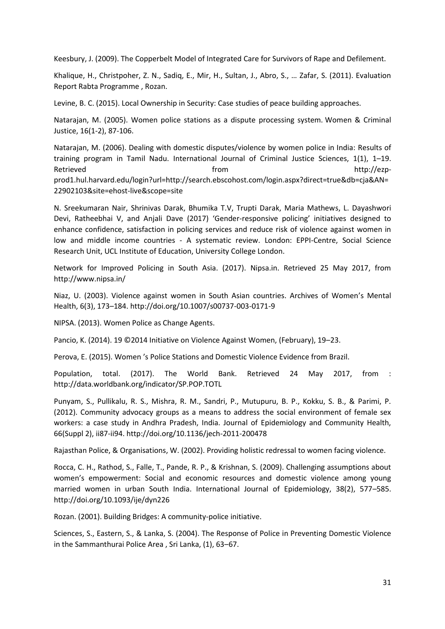Keesbury, J. (2009). The Copperbelt Model of Integrated Care for Survivors of Rape and Defilement.

Khalique, H., Christpoher, Z. N., Sadiq, E., Mir, H., Sultan, J., Abro, S., ... Zafar, S. (2011). Evaluation Report Rabta Programme , Rozan.

Levine, B. C. (2015). Local Ownership in Security: Case studies of peace building approaches.

Natarajan, M. (2005). Women police stations as a dispute processing system. Women & Criminal Justice, 16(1-2), 87-106.

Natarajan, M. (2006). Dealing with domestic disputes/violence by women police in India: Results of training program in Tamil Nadu. International Journal of Criminal Justice Sciences, 1(1), 1–19. Retrieved **from the set of the controller of the controller** from the controller http://ezpprod1.hul.harvard.edu/login?url=http://search.ebscohost.com/login.aspx?direct=true&db=cja&AN= 22902103&site=ehost-live&scope=site

N. Sreekumaran Nair, Shrinivas Darak, Bhumika T.V, Trupti Darak, Maria Mathews, L. Dayashwori Devi, Ratheebhai V, and Anjali Dave (2017) 'Gender-responsive policing' initiatives designed to enhance confidence, satisfaction in policing services and reduce risk of violence against women in low and middle income countries - A systematic review. London: EPPI-Centre, Social Science Research Unit, UCL Institute of Education, University College London.

Network for Improved Policing in South Asia. (2017). Nipsa.in. Retrieved 25 May 2017, from <http://www.nipsa.in/>

Niaz, U. (2003). Violence against women in South Asian countries. Archives of Women's Mental Health, 6(3), 173–184.<http://doi.org/10.1007/s00737-003-0171-9>

NIPSA. (2013). Women Police as Change Agents.

Pancio, K. (2014). 19 ©2014 Initiative on Violence Against Women, (February), 19–23.

Perova, E. (2015). Women 's Police Stations and Domestic Violence Evidence from Brazil.

Population, total. (2017). The World Bank. Retrieved 24 May 2017, from : <http://data.worldbank.org/indicator/SP.POP.TOTL>

Punyam, S., Pullikalu, R. S., Mishra, R. M., Sandri, P., Mutupuru, B. P., Kokku, S. B., & Parimi, P. (2012). Community advocacy groups as a means to address the social environment of female sex workers: a case study in Andhra Pradesh, India. Journal of Epidemiology and Community Health, 66(Suppl 2), ii87-ii94. http://doi.org/10.1136/jech-2011-200478

Rajasthan Police, & Organisations, W. (2002). Providing holistic redressal to women facing violence.

Rocca, C. H., Rathod, S., Falle, T., Pande, R. P., & Krishnan, S. (2009). Challenging assumptions about women's empowerment: Social and economic resources and domestic violence among young married women in urban South India. International Journal of Epidemiology, 38(2), 577–585. http://doi.org/10.1093/ije/dyn226

Rozan. (2001). Building Bridges: A community-police initiative.

Sciences, S., Eastern, S., & Lanka, S. (2004). The Response of Police in Preventing Domestic Violence in the Sammanthurai Police Area , Sri Lanka, (1), 63–67.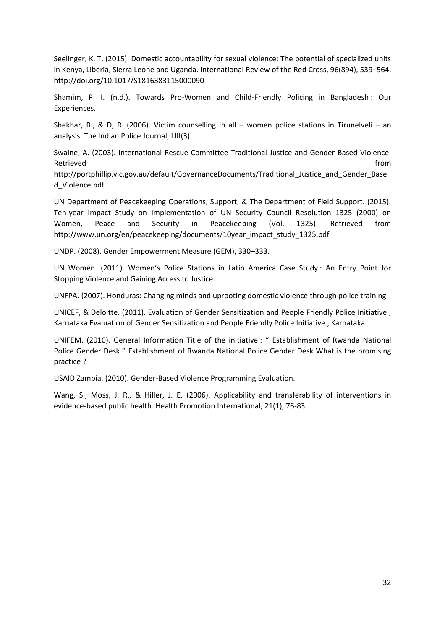Seelinger, K. T. (2015). Domestic accountability for sexual violence: The potential of specialized units in Kenya, Liberia, Sierra Leone and Uganda. International Review of the Red Cross, 96(894), 539–564. http://doi.org/10.1017/S1816383115000090

Shamim, P. I. (n.d.). Towards Pro-Women and Child-Friendly Policing in Bangladesh : Our Experiences.

Shekhar, B., & D, R. (2006). Victim counselling in all – women police stations in Tirunelveli – an analysis. The Indian Police Journal, LIII(3).

Swaine, A. (2003). International Rescue Committee Traditional Justice and Gender Based Violence. Retrieved **from** 

http://portphillip.vic.gov.au/default/GovernanceDocuments/Traditional\_Justice\_and\_Gender\_Base d\_Violence.pdf

UN Department of Peacekeeping Operations, Support, & The Department of Field Support. (2015). Ten-year Impact Study on Implementation of UN Security Council Resolution 1325 (2000) on Women, Peace and Security in Peacekeeping (Vol. 1325). Retrieved from http://www.un.org/en/peacekeeping/documents/10year\_impact\_study\_1325.pdf

UNDP. (2008). Gender Empowerment Measure (GEM), 330–333.

UN Women. (2011). Women's Police Stations in Latin America Case Study : An Entry Point for Stopping Violence and Gaining Access to Justice.

UNFPA. (2007). Honduras: Changing minds and uprooting domestic violence through police training.

UNICEF, & Deloitte. (2011). Evaluation of Gender Sensitization and People Friendly Police Initiative , Karnataka Evaluation of Gender Sensitization and People Friendly Police Initiative , Karnataka.

UNIFEM. (2010). General Information Title of the initiative : " Establishment of Rwanda National Police Gender Desk " Establishment of Rwanda National Police Gender Desk What is the promising practice ?

USAID Zambia. (2010). Gender-Based Violence Programming Evaluation.

Wang, S., Moss, J. R., & Hiller, J. E. (2006). Applicability and transferability of interventions in evidence-based public health. Health Promotion International, 21(1), 76-83.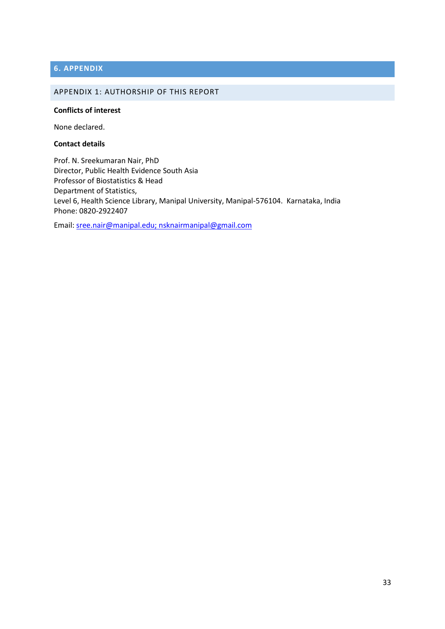## <span id="page-32-0"></span>**6. APPENDIX**

#### <span id="page-32-1"></span>APPENDIX 1: AUTHORSHIP OF THIS REPORT

#### **Conflicts of interest**

None declared.

#### **Contact details**

Prof. N. Sreekumaran Nair, PhD Director, Public Health Evidence South Asia Professor of Biostatistics & Head Department of Statistics, Level 6, Health Science Library, Manipal University, Manipal-576104. Karnataka, India Phone: 0820-2922407

Email: [sree.nair@manipal.edu;](mailto:sree.nair@manipal.edu) [nsknairmanipal@gmail.com](mailto:nsknairmanipal@gmail.com)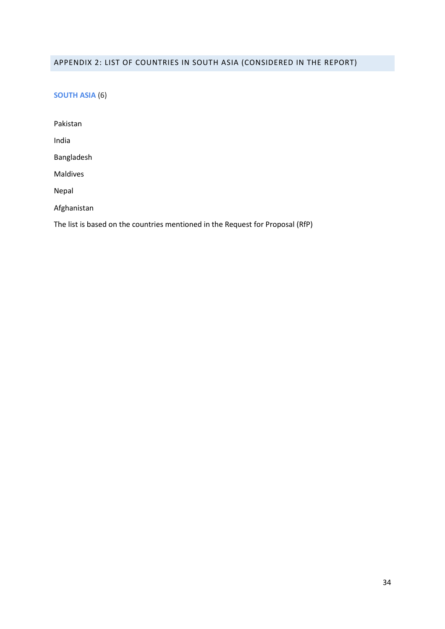## <span id="page-33-0"></span>APPENDIX 2: LIST OF COUNTRIES IN SOUTH ASIA (CONSIDERED IN THE REPORT)

**SOUTH ASIA** (6)

Pakistan India Bangladesh Maldives Nepal Afghanistan

The list is based on the countries mentioned in the Request for Proposal (RfP)